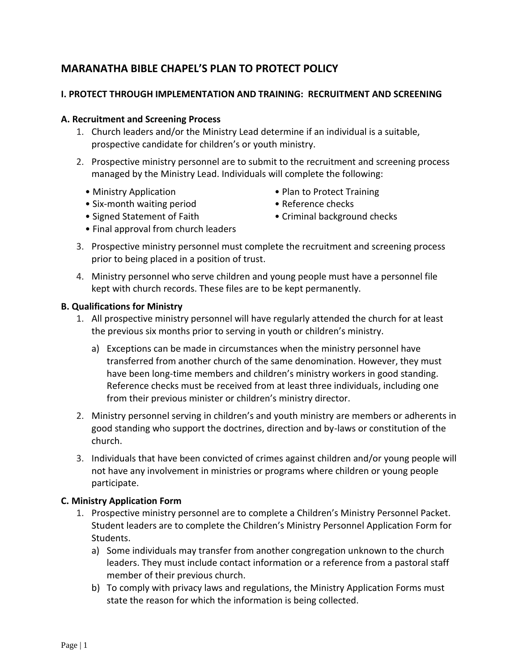# **MARANATHA BIBLE CHAPEL'S PLAN TO PROTECT POLICY**

## **I. PROTECT THROUGH IMPLEMENTATION AND TRAINING: RECRUITMENT AND SCREENING**

#### **A. Recruitment and Screening Process**

- 1. Church leaders and/or the Ministry Lead determine if an individual is a suitable, prospective candidate for children's or youth ministry.
- 2. Prospective ministry personnel are to submit to the recruitment and screening process managed by the Ministry Lead. Individuals will complete the following:
	-
	- Six-month waiting period Reference checks
	- Ministry Application Plan to Protect Training
		-
	-
	- Final approval from church leaders
	- Signed Statement of Faith Criminal background checks
- 3. Prospective ministry personnel must complete the recruitment and screening process prior to being placed in a position of trust.
- 4. Ministry personnel who serve children and young people must have a personnel file kept with church records. These files are to be kept permanently.

#### **B. Qualifications for Ministry**

- 1. All prospective ministry personnel will have regularly attended the church for at least the previous six months prior to serving in youth or children's ministry.
	- a) Exceptions can be made in circumstances when the ministry personnel have transferred from another church of the same denomination. However, they must have been long-time members and children's ministry workers in good standing. Reference checks must be received from at least three individuals, including one from their previous minister or children's ministry director.
- 2. Ministry personnel serving in children's and youth ministry are members or adherents in good standing who support the doctrines, direction and by-laws or constitution of the church.
- 3. Individuals that have been convicted of crimes against children and/or young people will not have any involvement in ministries or programs where children or young people participate.

#### **C. Ministry Application Form**

- 1. Prospective ministry personnel are to complete a Children's Ministry Personnel Packet. Student leaders are to complete the Children's Ministry Personnel Application Form for Students.
	- a) Some individuals may transfer from another congregation unknown to the church leaders. They must include contact information or a reference from a pastoral staff member of their previous church.
	- b) To comply with privacy laws and regulations, the Ministry Application Forms must state the reason for which the information is being collected.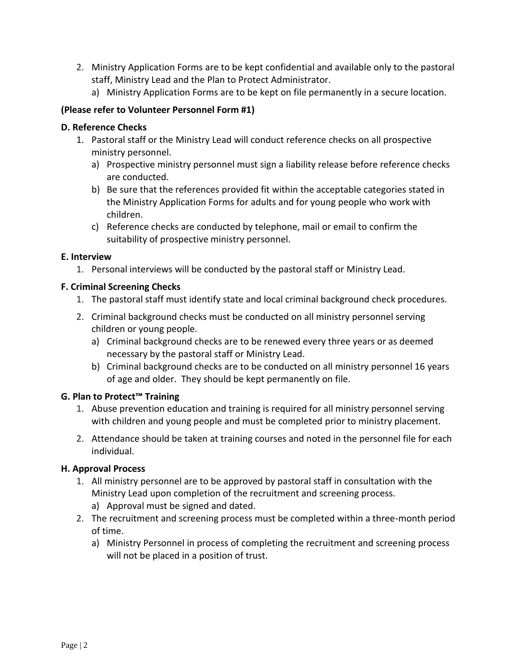- 2. Ministry Application Forms are to be kept confidential and available only to the pastoral staff, Ministry Lead and the Plan to Protect Administrator.
	- a) Ministry Application Forms are to be kept on file permanently in a secure location.

## **(Please refer to Volunteer Personnel Form #1)**

### **D. Reference Checks**

- 1. Pastoral staff or the Ministry Lead will conduct reference checks on all prospective ministry personnel.
	- a) Prospective ministry personnel must sign a liability release before reference checks are conducted.
	- b) Be sure that the references provided fit within the acceptable categories stated in the Ministry Application Forms for adults and for young people who work with children.
	- c) Reference checks are conducted by telephone, mail or email to confirm the suitability of prospective ministry personnel.

### **E. Interview**

1. Personal interviews will be conducted by the pastoral staff or Ministry Lead.

## **F. Criminal Screening Checks**

- 1. The pastoral staff must identify state and local criminal background check procedures.
- 2. Criminal background checks must be conducted on all ministry personnel serving children or young people.
	- a) Criminal background checks are to be renewed every three years or as deemed necessary by the pastoral staff or Ministry Lead.
	- b) Criminal background checks are to be conducted on all ministry personnel 16 years of age and older. They should be kept permanently on file.

## **G. Plan to Protect™ Training**

- 1. Abuse prevention education and training is required for all ministry personnel serving with children and young people and must be completed prior to ministry placement.
- 2. Attendance should be taken at training courses and noted in the personnel file for each individual.

## **H. Approval Process**

- 1. All ministry personnel are to be approved by pastoral staff in consultation with the Ministry Lead upon completion of the recruitment and screening process.
	- a) Approval must be signed and dated.
- 2. The recruitment and screening process must be completed within a three-month period of time.
	- a) Ministry Personnel in process of completing the recruitment and screening process will not be placed in a position of trust.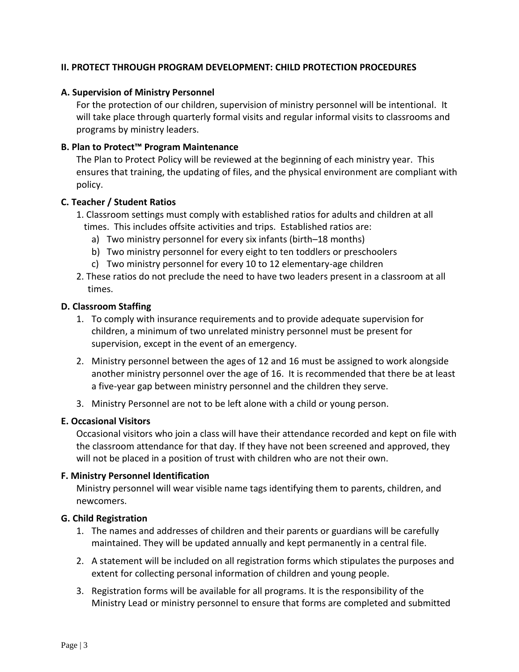### **II. PROTECT THROUGH PROGRAM DEVELOPMENT: CHILD PROTECTION PROCEDURES**

### **A. Supervision of Ministry Personnel**

For the protection of our children, supervision of ministry personnel will be intentional. It will take place through quarterly formal visits and regular informal visits to classrooms and programs by ministry leaders.

## **B. Plan to Protect™ Program Maintenance**

The Plan to Protect Policy will be reviewed at the beginning of each ministry year. This ensures that training, the updating of files, and the physical environment are compliant with policy.

### **C. Teacher / Student Ratios**

- 1. Classroom settings must comply with established ratios for adults and children at all times. This includes offsite activities and trips. Established ratios are:
	- a) Two ministry personnel for every six infants (birth–18 months)
	- b) Two ministry personnel for every eight to ten toddlers or preschoolers
	- c) Two ministry personnel for every 10 to 12 elementary-age children
- 2. These ratios do not preclude the need to have two leaders present in a classroom at all times.

#### **D. Classroom Staffing**

- 1. To comply with insurance requirements and to provide adequate supervision for children, a minimum of two unrelated ministry personnel must be present for supervision, except in the event of an emergency.
- 2. Ministry personnel between the ages of 12 and 16 must be assigned to work alongside another ministry personnel over the age of 16. It is recommended that there be at least a five-year gap between ministry personnel and the children they serve.
- 3. Ministry Personnel are not to be left alone with a child or young person.

### **E. Occasional Visitors**

Occasional visitors who join a class will have their attendance recorded and kept on file with the classroom attendance for that day. If they have not been screened and approved, they will not be placed in a position of trust with children who are not their own.

#### **F. Ministry Personnel Identification**

Ministry personnel will wear visible name tags identifying them to parents, children, and newcomers.

#### **G. Child Registration**

- 1. The names and addresses of children and their parents or guardians will be carefully maintained. They will be updated annually and kept permanently in a central file.
- 2. A statement will be included on all registration forms which stipulates the purposes and extent for collecting personal information of children and young people.
- 3. Registration forms will be available for all programs. It is the responsibility of the Ministry Lead or ministry personnel to ensure that forms are completed and submitted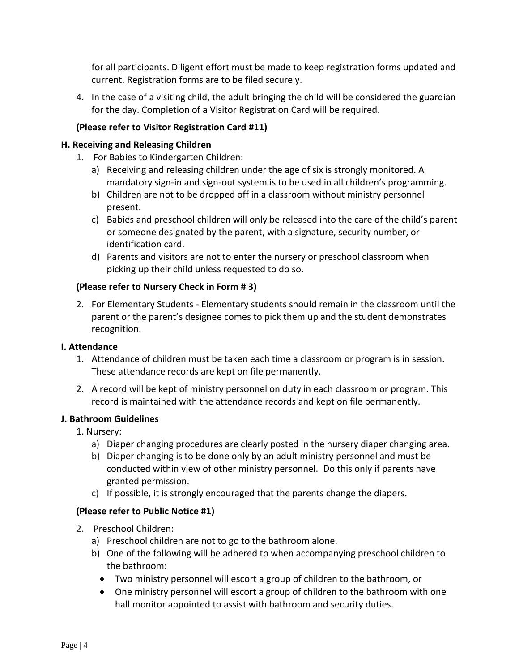for all participants. Diligent effort must be made to keep registration forms updated and current. Registration forms are to be filed securely.

4. In the case of a visiting child, the adult bringing the child will be considered the guardian for the day. Completion of a Visitor Registration Card will be required.

## **(Please refer to Visitor Registration Card #11)**

## **H. Receiving and Releasing Children**

- 1. For Babies to Kindergarten Children:
	- a) Receiving and releasing children under the age of six is strongly monitored. A mandatory sign-in and sign-out system is to be used in all children's programming.
	- b) Children are not to be dropped off in a classroom without ministry personnel present.
	- c) Babies and preschool children will only be released into the care of the child's parent or someone designated by the parent, with a signature, security number, or identification card.
	- d) Parents and visitors are not to enter the nursery or preschool classroom when picking up their child unless requested to do so.

## **(Please refer to Nursery Check in Form # 3)**

2. For Elementary Students - Elementary students should remain in the classroom until the parent or the parent's designee comes to pick them up and the student demonstrates recognition.

## **I. Attendance**

- 1. Attendance of children must be taken each time a classroom or program is in session. These attendance records are kept on file permanently.
- 2. A record will be kept of ministry personnel on duty in each classroom or program. This record is maintained with the attendance records and kept on file permanently.

## **J. Bathroom Guidelines**

- 1. Nursery:
	- a) Diaper changing procedures are clearly posted in the nursery diaper changing area.
	- b) Diaper changing is to be done only by an adult ministry personnel and must be conducted within view of other ministry personnel. Do this only if parents have granted permission.
	- c) If possible, it is strongly encouraged that the parents change the diapers.

## **(Please refer to Public Notice #1)**

- 2. Preschool Children:
	- a) Preschool children are not to go to the bathroom alone.
	- b) One of the following will be adhered to when accompanying preschool children to the bathroom:
		- Two ministry personnel will escort a group of children to the bathroom, or
		- One ministry personnel will escort a group of children to the bathroom with one hall monitor appointed to assist with bathroom and security duties.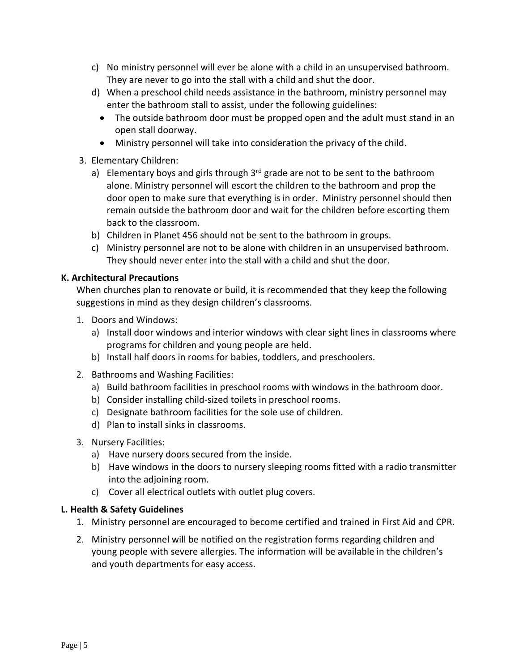- c) No ministry personnel will ever be alone with a child in an unsupervised bathroom. They are never to go into the stall with a child and shut the door.
- d) When a preschool child needs assistance in the bathroom, ministry personnel may enter the bathroom stall to assist, under the following guidelines:
	- The outside bathroom door must be propped open and the adult must stand in an open stall doorway.
	- Ministry personnel will take into consideration the privacy of the child.
- 3. Elementary Children:
	- a) Elementary boys and girls through  $3<sup>rd</sup>$  grade are not to be sent to the bathroom alone. Ministry personnel will escort the children to the bathroom and prop the door open to make sure that everything is in order. Ministry personnel should then remain outside the bathroom door and wait for the children before escorting them back to the classroom.
	- b) Children in Planet 456 should not be sent to the bathroom in groups.
	- c) Ministry personnel are not to be alone with children in an unsupervised bathroom. They should never enter into the stall with a child and shut the door.

## **K. Architectural Precautions**

When churches plan to renovate or build, it is recommended that they keep the following suggestions in mind as they design children's classrooms.

- 1. Doors and Windows:
	- a) Install door windows and interior windows with clear sight lines in classrooms where programs for children and young people are held.
	- b) Install half doors in rooms for babies, toddlers, and preschoolers.
- 2. Bathrooms and Washing Facilities:
	- a) Build bathroom facilities in preschool rooms with windows in the bathroom door.
	- b) Consider installing child-sized toilets in preschool rooms.
	- c) Designate bathroom facilities for the sole use of children.
	- d) Plan to install sinks in classrooms.
- 3. Nursery Facilities:
	- a) Have nursery doors secured from the inside.
	- b) Have windows in the doors to nursery sleeping rooms fitted with a radio transmitter into the adjoining room.
	- c) Cover all electrical outlets with outlet plug covers.

## **L. Health & Safety Guidelines**

- 1. Ministry personnel are encouraged to become certified and trained in First Aid and CPR.
- 2. Ministry personnel will be notified on the registration forms regarding children and young people with severe allergies. The information will be available in the children's and youth departments for easy access.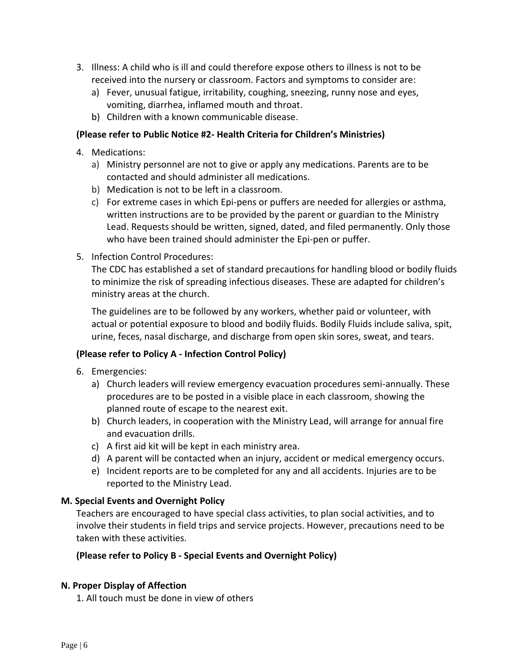- 3. Illness: A child who is ill and could therefore expose others to illness is not to be received into the nursery or classroom. Factors and symptoms to consider are:
	- a) Fever, unusual fatigue, irritability, coughing, sneezing, runny nose and eyes, vomiting, diarrhea, inflamed mouth and throat.
	- b) Children with a known communicable disease.

### **(Please refer to Public Notice #2- Health Criteria for Children's Ministries)**

- 4. Medications:
	- a) Ministry personnel are not to give or apply any medications. Parents are to be contacted and should administer all medications.
	- b) Medication is not to be left in a classroom.
	- c) For extreme cases in which Epi-pens or puffers are needed for allergies or asthma, written instructions are to be provided by the parent or guardian to the Ministry Lead. Requests should be written, signed, dated, and filed permanently. Only those who have been trained should administer the Epi-pen or puffer.
- 5. Infection Control Procedures:

The CDC has established a set of standard precautions for handling blood or bodily fluids to minimize the risk of spreading infectious diseases. These are adapted for children's ministry areas at the church.

The guidelines are to be followed by any workers, whether paid or volunteer, with actual or potential exposure to blood and bodily fluids. Bodily Fluids include saliva, spit, urine, feces, nasal discharge, and discharge from open skin sores, sweat, and tears.

## **(Please refer to Policy A - Infection Control Policy)**

- 6. Emergencies:
	- a) Church leaders will review emergency evacuation procedures semi-annually. These procedures are to be posted in a visible place in each classroom, showing the planned route of escape to the nearest exit.
	- b) Church leaders, in cooperation with the Ministry Lead, will arrange for annual fire and evacuation drills.
	- c) A first aid kit will be kept in each ministry area.
	- d) A parent will be contacted when an injury, accident or medical emergency occurs.
	- e) Incident reports are to be completed for any and all accidents. Injuries are to be reported to the Ministry Lead.

## **M. Special Events and Overnight Policy**

Teachers are encouraged to have special class activities, to plan social activities, and to involve their students in field trips and service projects. However, precautions need to be taken with these activities.

#### **(Please refer to Policy B - Special Events and Overnight Policy)**

## **N. Proper Display of Affection**

1. All touch must be done in view of others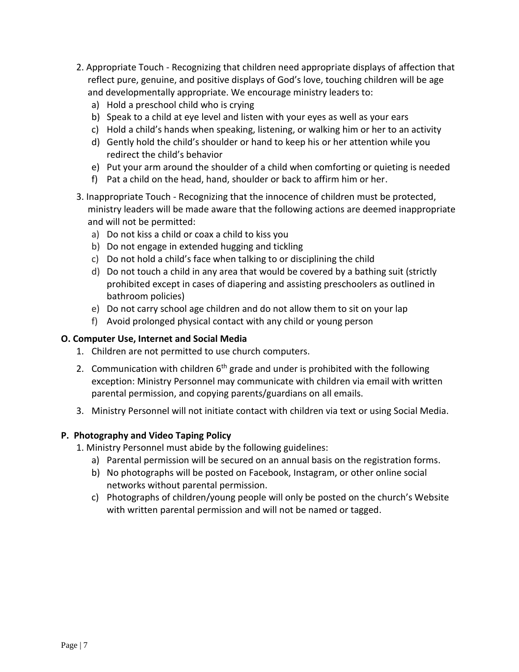- 2. Appropriate Touch Recognizing that children need appropriate displays of affection that reflect pure, genuine, and positive displays of God's love, touching children will be age and developmentally appropriate. We encourage ministry leaders to:
	- a) Hold a preschool child who is crying
	- b) Speak to a child at eye level and listen with your eyes as well as your ears
	- c) Hold a child's hands when speaking, listening, or walking him or her to an activity
	- d) Gently hold the child's shoulder or hand to keep his or her attention while you redirect the child's behavior
	- e) Put your arm around the shoulder of a child when comforting or quieting is needed
	- f) Pat a child on the head, hand, shoulder or back to affirm him or her.
- 3. Inappropriate Touch Recognizing that the innocence of children must be protected, ministry leaders will be made aware that the following actions are deemed inappropriate and will not be permitted:
	- a) Do not kiss a child or coax a child to kiss you
	- b) Do not engage in extended hugging and tickling
	- c) Do not hold a child's face when talking to or disciplining the child
	- d) Do not touch a child in any area that would be covered by a bathing suit (strictly prohibited except in cases of diapering and assisting preschoolers as outlined in bathroom policies)
	- e) Do not carry school age children and do not allow them to sit on your lap
	- f) Avoid prolonged physical contact with any child or young person

## **O. Computer Use, Internet and Social Media**

- 1. Children are not permitted to use church computers.
- 2. Communication with children  $6<sup>th</sup>$  grade and under is prohibited with the following exception: Ministry Personnel may communicate with children via email with written parental permission, and copying parents/guardians on all emails.
- 3. Ministry Personnel will not initiate contact with children via text or using Social Media.

## **P. Photography and Video Taping Policy**

- 1. Ministry Personnel must abide by the following guidelines:
	- a) Parental permission will be secured on an annual basis on the registration forms.
	- b) No photographs will be posted on Facebook, Instagram, or other online social networks without parental permission.
	- c) Photographs of children/young people will only be posted on the church's Website with written parental permission and will not be named or tagged.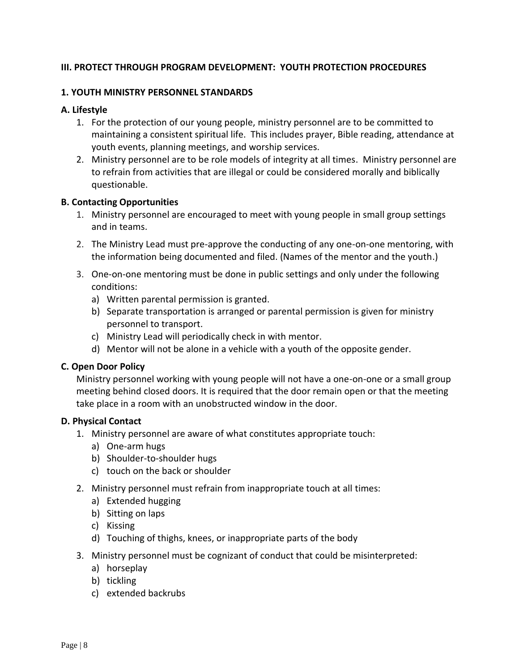## **III. PROTECT THROUGH PROGRAM DEVELOPMENT: YOUTH PROTECTION PROCEDURES**

#### **1. YOUTH MINISTRY PERSONNEL STANDARDS**

#### **A. Lifestyle**

- 1. For the protection of our young people, ministry personnel are to be committed to maintaining a consistent spiritual life. This includes prayer, Bible reading, attendance at youth events, planning meetings, and worship services.
- 2. Ministry personnel are to be role models of integrity at all times. Ministry personnel are to refrain from activities that are illegal or could be considered morally and biblically questionable.

#### **B. Contacting Opportunities**

- 1. Ministry personnel are encouraged to meet with young people in small group settings and in teams.
- 2. The Ministry Lead must pre-approve the conducting of any one-on-one mentoring, with the information being documented and filed. (Names of the mentor and the youth.)
- 3. One-on-one mentoring must be done in public settings and only under the following conditions:
	- a) Written parental permission is granted.
	- b) Separate transportation is arranged or parental permission is given for ministry personnel to transport.
	- c) Ministry Lead will periodically check in with mentor.
	- d) Mentor will not be alone in a vehicle with a youth of the opposite gender.

#### **C. Open Door Policy**

Ministry personnel working with young people will not have a one-on-one or a small group meeting behind closed doors. It is required that the door remain open or that the meeting take place in a room with an unobstructed window in the door.

#### **D. Physical Contact**

- 1. Ministry personnel are aware of what constitutes appropriate touch:
	- a) One-arm hugs
	- b) Shoulder-to-shoulder hugs
	- c) touch on the back or shoulder
- 2. Ministry personnel must refrain from inappropriate touch at all times:
	- a) Extended hugging
	- b) Sitting on laps
	- c) Kissing
	- d) Touching of thighs, knees, or inappropriate parts of the body
- 3. Ministry personnel must be cognizant of conduct that could be misinterpreted:
	- a) horseplay
	- b) tickling
	- c) extended backrubs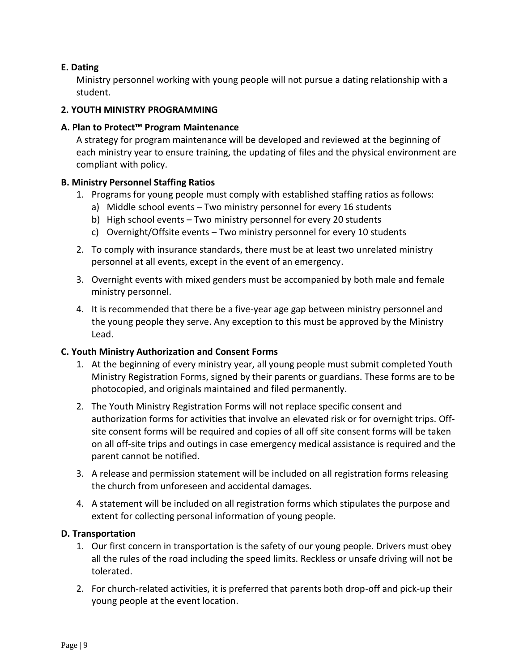## **E. Dating**

Ministry personnel working with young people will not pursue a dating relationship with a student.

#### **2. YOUTH MINISTRY PROGRAMMING**

#### **A. Plan to Protect™ Program Maintenance**

A strategy for program maintenance will be developed and reviewed at the beginning of each ministry year to ensure training, the updating of files and the physical environment are compliant with policy.

#### **B. Ministry Personnel Staffing Ratios**

- 1. Programs for young people must comply with established staffing ratios as follows:
	- a) Middle school events Two ministry personnel for every 16 students
	- b) High school events Two ministry personnel for every 20 students
	- c) Overnight/Offsite events Two ministry personnel for every 10 students
- 2. To comply with insurance standards, there must be at least two unrelated ministry personnel at all events, except in the event of an emergency.
- 3. Overnight events with mixed genders must be accompanied by both male and female ministry personnel.
- 4. It is recommended that there be a five-year age gap between ministry personnel and the young people they serve. Any exception to this must be approved by the Ministry Lead.

#### **C. Youth Ministry Authorization and Consent Forms**

- 1. At the beginning of every ministry year, all young people must submit completed Youth Ministry Registration Forms, signed by their parents or guardians. These forms are to be photocopied, and originals maintained and filed permanently.
- 2. The Youth Ministry Registration Forms will not replace specific consent and authorization forms for activities that involve an elevated risk or for overnight trips. Offsite consent forms will be required and copies of all off site consent forms will be taken on all off-site trips and outings in case emergency medical assistance is required and the parent cannot be notified.
- 3. A release and permission statement will be included on all registration forms releasing the church from unforeseen and accidental damages.
- 4. A statement will be included on all registration forms which stipulates the purpose and extent for collecting personal information of young people.

#### **D. Transportation**

- 1. Our first concern in transportation is the safety of our young people. Drivers must obey all the rules of the road including the speed limits. Reckless or unsafe driving will not be tolerated.
- 2. For church-related activities, it is preferred that parents both drop-off and pick-up their young people at the event location.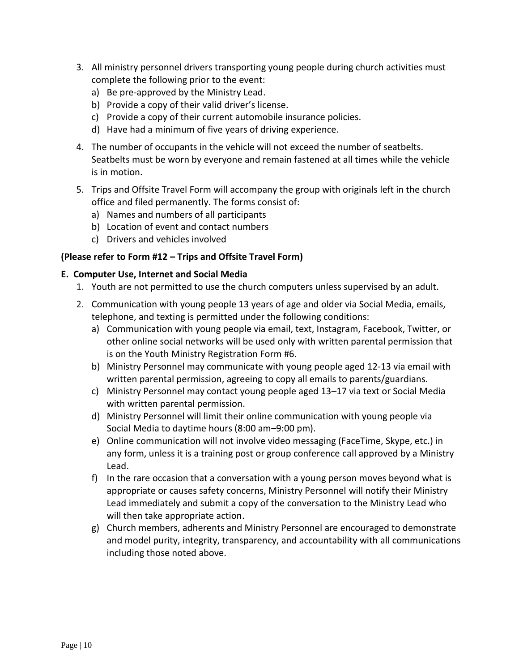- 3. All ministry personnel drivers transporting young people during church activities must complete the following prior to the event:
	- a) Be pre-approved by the Ministry Lead.
	- b) Provide a copy of their valid driver's license.
	- c) Provide a copy of their current automobile insurance policies.
	- d) Have had a minimum of five years of driving experience.
- 4. The number of occupants in the vehicle will not exceed the number of seatbelts. Seatbelts must be worn by everyone and remain fastened at all times while the vehicle is in motion.
- 5. Trips and Offsite Travel Form will accompany the group with originals left in the church office and filed permanently. The forms consist of:
	- a) Names and numbers of all participants
	- b) Location of event and contact numbers
	- c) Drivers and vehicles involved

#### **(Please refer to Form #12 – Trips and Offsite Travel Form)**

#### **E. Computer Use, Internet and Social Media**

- 1. Youth are not permitted to use the church computers unless supervised by an adult.
- 2. Communication with young people 13 years of age and older via Social Media, emails, telephone, and texting is permitted under the following conditions:
	- a) Communication with young people via email, text, Instagram, Facebook, Twitter, or other online social networks will be used only with written parental permission that is on the Youth Ministry Registration Form #6.
	- b) Ministry Personnel may communicate with young people aged 12-13 via email with written parental permission, agreeing to copy all emails to parents/guardians.
	- c) Ministry Personnel may contact young people aged 13–17 via text or Social Media with written parental permission.
	- d) Ministry Personnel will limit their online communication with young people via Social Media to daytime hours (8:00 am–9:00 pm).
	- e) Online communication will not involve video messaging (FaceTime, Skype, etc.) in any form, unless it is a training post or group conference call approved by a Ministry Lead.
	- f) In the rare occasion that a conversation with a young person moves beyond what is appropriate or causes safety concerns, Ministry Personnel will notify their Ministry Lead immediately and submit a copy of the conversation to the Ministry Lead who will then take appropriate action.
	- g) Church members, adherents and Ministry Personnel are encouraged to demonstrate and model purity, integrity, transparency, and accountability with all communications including those noted above.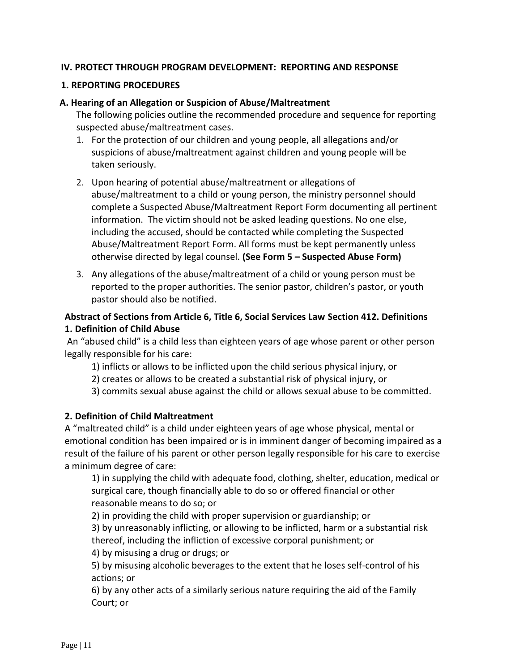### **IV. PROTECT THROUGH PROGRAM DEVELOPMENT: REPORTING AND RESPONSE**

#### **1. REPORTING PROCEDURES**

#### **A. Hearing of an Allegation or Suspicion of Abuse/Maltreatment**

The following policies outline the recommended procedure and sequence for reporting suspected abuse/maltreatment cases.

- 1. For the protection of our children and young people, all allegations and/or suspicions of abuse/maltreatment against children and young people will be taken seriously.
- 2. Upon hearing of potential abuse/maltreatment or allegations of abuse/maltreatment to a child or young person, the ministry personnel should complete a Suspected Abuse/Maltreatment Report Form documenting all pertinent information. The victim should not be asked leading questions. No one else, including the accused, should be contacted while completing the Suspected Abuse/Maltreatment Report Form. All forms must be kept permanently unless otherwise directed by legal counsel. **(See Form 5 – Suspected Abuse Form)**
- 3. Any allegations of the abuse/maltreatment of a child or young person must be reported to the proper authorities. The senior pastor, children's pastor, or youth pastor should also be notified.

## **Abstract of Sections from Article 6, Title 6, Social Services Law Section 412. Definitions 1. Definition of Child Abuse**

An "abused child" is a child less than eighteen years of age whose parent or other person legally responsible for his care:

1) inflicts or allows to be inflicted upon the child serious physical injury, or

2) creates or allows to be created a substantial risk of physical injury, or

3) commits sexual abuse against the child or allows sexual abuse to be committed.

#### **2. Definition of Child Maltreatment**

A "maltreated child" is a child under eighteen years of age whose physical, mental or emotional condition has been impaired or is in imminent danger of becoming impaired as a result of the failure of his parent or other person legally responsible for his care to exercise a minimum degree of care:

1) in supplying the child with adequate food, clothing, shelter, education, medical or surgical care, though financially able to do so or offered financial or other reasonable means to do so; or

2) in providing the child with proper supervision or guardianship; or

3) by unreasonably inflicting, or allowing to be inflicted, harm or a substantial risk thereof, including the infliction of excessive corporal punishment; or

4) by misusing a drug or drugs; or

5) by misusing alcoholic beverages to the extent that he loses self-control of his actions; or

6) by any other acts of a similarly serious nature requiring the aid of the Family Court; or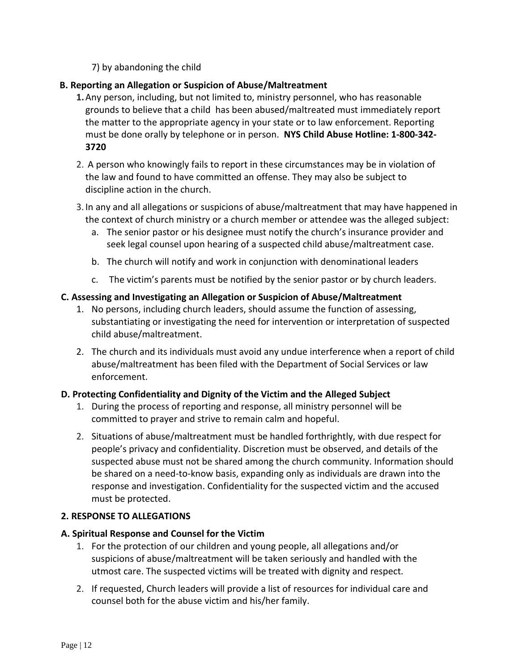7) by abandoning the child

## **B. Reporting an Allegation or Suspicion of Abuse/Maltreatment**

- **1.**Any person, including, but not limited to, ministry personnel, who has reasonable grounds to believe that a child has been abused/maltreated must immediately report the matter to the appropriate agency in your state or to law enforcement. Reporting must be done orally by telephone or in person. **NYS Child Abuse Hotline: 1-800-342- 3720**
- 2. A person who knowingly fails to report in these circumstances may be in violation of the law and found to have committed an offense. They may also be subject to discipline action in the church.
- 3. In any and all allegations or suspicions of abuse/maltreatment that may have happened in the context of church ministry or a church member or attendee was the alleged subject:
	- a. The senior pastor or his designee must notify the church's insurance provider and seek legal counsel upon hearing of a suspected child abuse/maltreatment case.
	- b. The church will notify and work in conjunction with denominational leaders
	- c. The victim's parents must be notified by the senior pastor or by church leaders.

### **C. Assessing and Investigating an Allegation or Suspicion of Abuse/Maltreatment**

- 1. No persons, including church leaders, should assume the function of assessing, substantiating or investigating the need for intervention or interpretation of suspected child abuse/maltreatment.
- 2. The church and its individuals must avoid any undue interference when a report of child abuse/maltreatment has been filed with the Department of Social Services or law enforcement.

## **D. Protecting Confidentiality and Dignity of the Victim and the Alleged Subject**

- 1. During the process of reporting and response, all ministry personnel will be committed to prayer and strive to remain calm and hopeful.
- 2. Situations of abuse/maltreatment must be handled forthrightly, with due respect for people's privacy and confidentiality. Discretion must be observed, and details of the suspected abuse must not be shared among the church community. Information should be shared on a need-to-know basis, expanding only as individuals are drawn into the response and investigation. Confidentiality for the suspected victim and the accused must be protected.

## **2. RESPONSE TO ALLEGATIONS**

### **A. Spiritual Response and Counsel for the Victim**

- 1. For the protection of our children and young people, all allegations and/or suspicions of abuse/maltreatment will be taken seriously and handled with the utmost care. The suspected victims will be treated with dignity and respect.
- 2. If requested, Church leaders will provide a list of resources for individual care and counsel both for the abuse victim and his/her family.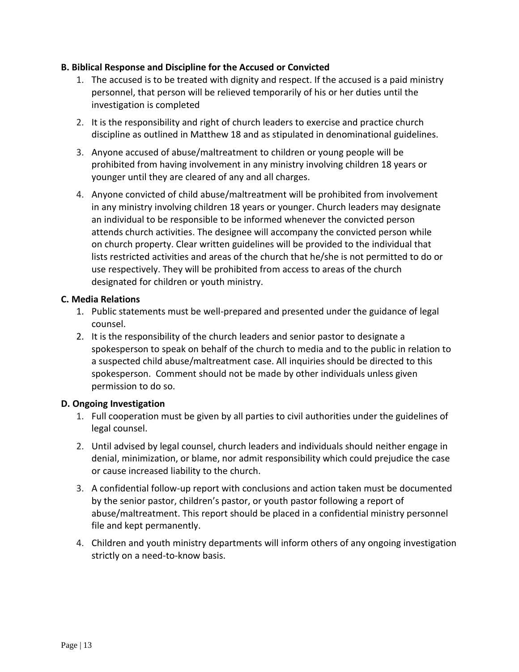### **B. Biblical Response and Discipline for the Accused or Convicted**

- 1. The accused is to be treated with dignity and respect. If the accused is a paid ministry personnel, that person will be relieved temporarily of his or her duties until the investigation is completed
- 2. It is the responsibility and right of church leaders to exercise and practice church discipline as outlined in Matthew 18 and as stipulated in denominational guidelines.
- 3. Anyone accused of abuse/maltreatment to children or young people will be prohibited from having involvement in any ministry involving children 18 years or younger until they are cleared of any and all charges.
- 4. Anyone convicted of child abuse/maltreatment will be prohibited from involvement in any ministry involving children 18 years or younger. Church leaders may designate an individual to be responsible to be informed whenever the convicted person attends church activities. The designee will accompany the convicted person while on church property. Clear written guidelines will be provided to the individual that lists restricted activities and areas of the church that he/she is not permitted to do or use respectively. They will be prohibited from access to areas of the church designated for children or youth ministry.

#### **C. Media Relations**

- 1. Public statements must be well-prepared and presented under the guidance of legal counsel.
- 2. It is the responsibility of the church leaders and senior pastor to designate a spokesperson to speak on behalf of the church to media and to the public in relation to a suspected child abuse/maltreatment case. All inquiries should be directed to this spokesperson. Comment should not be made by other individuals unless given permission to do so.

## **D. Ongoing Investigation**

- 1. Full cooperation must be given by all parties to civil authorities under the guidelines of legal counsel.
- 2. Until advised by legal counsel, church leaders and individuals should neither engage in denial, minimization, or blame, nor admit responsibility which could prejudice the case or cause increased liability to the church.
- 3. A confidential follow-up report with conclusions and action taken must be documented by the senior pastor, children's pastor, or youth pastor following a report of abuse/maltreatment. This report should be placed in a confidential ministry personnel file and kept permanently.
- 4. Children and youth ministry departments will inform others of any ongoing investigation strictly on a need-to-know basis.